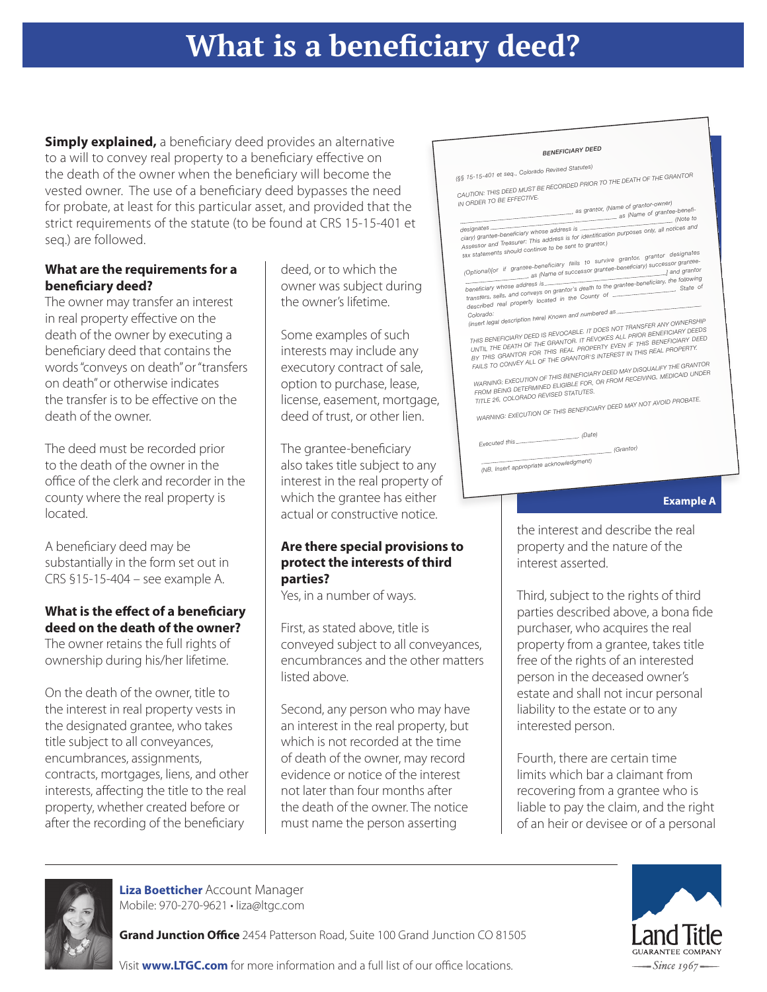# **What is a beneficiary deed?**

**Simply explained,** a beneficiary deed provides an alternative to a will to convey real property to a beneficiary effective on the death of the owner when the beneficiary will become the vested owner. The use of a beneficiary deed bypasses the need for probate, at least for this particular asset, and provided that the strict requirements of the statute (to be found at CRS 15-15-401 et seq.) are followed.

#### **What are the requirements for a beneficiary deed?**

The owner may transfer an interest in real property effective on the death of the owner by executing a beneficiary deed that contains the words "conveys on death" or "transfers on death" or otherwise indicates the transfer is to be effective on the death of the owner.

The deed must be recorded prior to the death of the owner in the office of the clerk and recorder in the county where the real property is located.

A beneficiary deed may be substantially in the form set out in CRS §15-15-404 – see example A.

#### **What is the effect of a beneficiary deed on the death of the owner?**

The owner retains the full rights of ownership during his/her lifetime.

On the death of the owner, title to the interest in real property vests in the designated grantee, who takes title subject to all conveyances, encumbrances, assignments, contracts, mortgages, liens, and other interests, affecting the title to the real property, whether created before or after the recording of the beneficiary

deed, or to which the owner was subject during the owner's lifetime.

Some examples of such interests may include any executory contract of sale, option to purchase, lease, license, easement, mortgage, deed of trust, or other lien.

The grantee-beneficiary also takes title subject to any interest in the real property of which the grantee has either actual or constructive notice.

#### **Are there special provisions to protect the interests of third parties?**

Yes, in a number of ways.

First, as stated above, title is conveyed subject to all conveyances, encumbrances and the other matters listed above.

Second, any person who may have an interest in the real property, but which is not recorded at the time of death of the owner, may record evidence or notice of the interest not later than four months after the death of the owner. The notice must name the person asserting

#### *BENEFICIARY DEED*

*(§§ 15-15-401 et seq., Colorado Revised Statutes) CAUTION: THIS DEED MUST BE RECORDED PRIOR TO THE DEATH OF THE GRANTOR*

*IN ORDER TO BE EFFECTIVE. , as grantor, (Name of grantor-owner) as (Name of grantee-benefi-(Note to*

*designates ciary) grantee-beneficiary whose address is Assessor and Treasurer: This address is for identification purposes only, all notices an<sup>d</sup> tax statements should continue to be sent to grantor.)*

*(Optional)[or if grantee-beneficiary fails to survive grantor, grantor designates ] and grantor , as (Name of successor grantee-beneficiary) successor grantee*beneficiary whose address is entering the distribution of the following<br>transfers, sells, and conveys on grantor's death to the grantee-beneficiary, the following<br>transfers, sells, and conveys on end in the County of *described real property located in the County o<sup>f</sup>*

# *Colorado: (insert legal description here) Known and numbered as THIS BENEFICIARY DEED IS REVOCABLE. IT DOES NOT TRANSFER ANY OWNERSHIP*

THIS BENEFICIARY DEED IS REVOCABLE. IT DOES NOT TRANGE THE CIARY DEEDS<br>UNTIL THE DEATH OF THE GRANTOR. IT REVOKES ALL PRIOR BENEFICIARY DEED<br>BY THIS GRANTOR FOR THIS REAL PROPERTY EVEN IF THIS BENEFICIARY DEED<br>BY THIS GRAN

*WARNING: EXECUTION OF THIS BENEFICIARY DEED MAY DISQUALIFY THE GRANTOR FROM BEING DETERMINED ELIGIBLE FOR, OR FROM RECEIVING, MEDICAID UNDER TITLE 26, COLORADO REVISED STATUTES.*

*WARNING: EXECUTION OF THIS BENEFICIARY DEED MAY NOT AVOID PROBATE.*

*. (Date)*

*Executed this*

*(NB. Insert appropriate acknowledgment)*

#### **Example A**

the interest and describe the real property and the nature of the interest asserted.

*(Grantor)*

Third, subject to the rights of third parties described above, a bona fide purchaser, who acquires the real property from a grantee, takes title free of the rights of an interested person in the deceased owner's estate and shall not incur personal liability to the estate or to any interested person.

Fourth, there are certain time limits which bar a claimant from recovering from a grantee who is liable to pay the claim, and the right of an heir or devisee or of a personal



**Liza Boetticher** Account Manager Mobile: 970-270-9621 • liza@ltgc.com

**Grand Junction Office** 2454 Patterson Road, Suite 100 Grand Junction CO 81505



Visit **www.LTGC.com** for more information and a full list of our office locations.